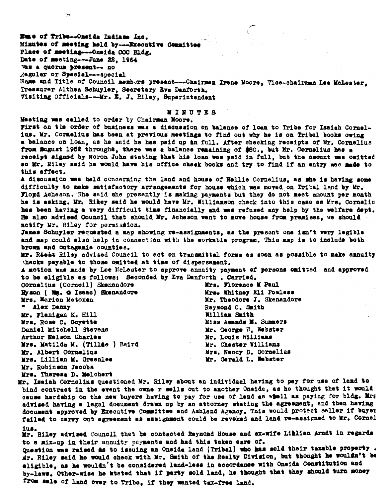Nome of Tribe--Oneide Indians Inc. Minutes of meeting held by---Executive Committee Place of meeting---Oneida COC Bldg. Date of meeting---June 22, 1964 Was a quorum present-- no Regular or Special---special Name and Title of Council members present---Chairman Irene Moore, Vice-chairman Lee McLester, Treasurer Althea Schuyler, Secretary Eva Danforth. Visiting Officials---Mr. E. J. Riley, Superintendent

## MINUTES

Meeting was called to order by Chairman Moore. First on the order of business was a discussion on balance of loan to Tribe for Isaiah Cornelius. Mr. Cormelius has been at previous meetings to find out why he is on Tribal books owing a balance on loan, as he said he has paid up in full. After checking receipts of Mr. Cornelius from Sugust 1952 throught, there was a balance remaining of \$80., but Mr. Cornelius has a receipt signed by Noron John stating that his loan was paid in full, but the amount was omitted so Mr. Riley said he would have his office check books and try to find if an entry was made to this effect. A discussion was held concerning the land and house of Nellie Cornelius, as she is having some difficulty to make satisfactory arrangements for house which was moved on Tribal land by Mr. Floyd Acheson. She said ahe presently is making payments but they do not meet amount per month he is asking. Mr. Rikey said he would have Mr. Williamson check into this case as Mrs. Corneliu has been having a very difficult time financially and was refused any help by the welfare dept. He also advised Council that should Mr. Acheson want to move house from premises, we should notify Mr. Riley for permission. James Schuyler requested a map showing re-assignments, as the present one isn't very legible and map could also help in connection with the workable program. This map is to include both brown and outagamis counties. Mr. Rielt Riley advised Council to act on transmittal forms as soon as possible to make annuity thecks payable to those omitted at time of dispersement. A motion was made by Lee McLester to approve annuity payment of persons cmitted and approved to be eligible as follows: Seconded by Eva Danforth . Carried. Cornelius (Corneil) Skenandore Mrs. Florence M Paul Hyson ( Na. O Isaac) Skenandore Mrs. Whitney Eli Powless Mrs. Marion Metoren Mr. Theodore J. Skenandore Alex Denny Raymond C. Smith Mr. Flanigan K. Hill William Smith Mrs. Rose C. Guyette Miss Amands M. Summers Deniel Mitchell Stevens Mr. George W. Webster Arthur Nelson Charles Mr. Louis Williams Mrs. Matilda M. (Tilláe ) Baird Mr. Chester Williams Mr. Albert Cornelius Mrs. Nancy D. Cornelius Mrs. Lillian M. Greenlee Mr. Gerald L. Webster Mr. Robinson Jacobs Mrs. Theresa D. Molchert Mr. Isaiah Cornelins questioned Mr. Riley about an individual having to pay for use of land to

bind contract in the event the owne r sells out to another Oneida, as he thought that it would cause hardship on the new buyers having to pay for use of land as whell as paying for bldg. Mrs advised having a legal document drawn up by an attorney stating the agreement, and then having document approved by Executive Committee and Ashland Agency. This would protect seller if buyer failed to carry out agreement as assignment could be revoked and land re-assigned to Mr. Cornel ius.

Mr. Riley advised Council that he contacted Raymond House and ex-wife Lihlian Arndt in regards to a mix-up in their annuity payments and had this taken care of.

Question was raised as to issuing an Oneida land (Tribal) who has sold their taxable property. Mr. Riley said he would check with Mr. Smith of the Realty Division, but thought he wouldn't be eligible, as he wouldn't be considered land-less in accordance with Oneida Constitution and by-laws. Other-wise he ktated that if party sold land, he thought that they should turn money from sale of land over to Tribe, if they wanted tax-free land.